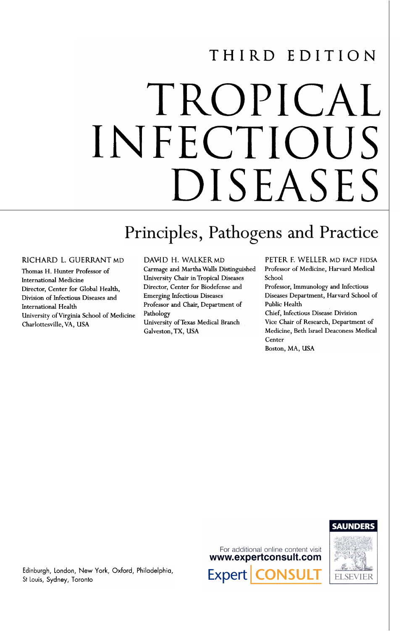# THIRD EDITION

# TROPICAL INFECTIOUS DISEASES

# Principles, Pathogens and Practice

### RICHARD L. GUERRANT MD

Thomas H. Hunter Professor of International Medicine Director, Center for Global Health, Division of Infectious Diseases and International Health University ofVirginia School of Medicine Charlottesville, VA, USA

### DAVID H. WALKER MD

çarmage and Martha Walls Distinguished University Chair in Tropical Diseases Director, Center for Biodefense and Emerging Infectious Diseases Professor and Chair, Department of Pathology University ofTexas Medical Branch Galveston, TX, USA

PETER F. WELLER MO FACP FIOSA Professor of Medicine, Harvard Medical School

Professor, Immunology and Infectious Diseases Department, Harvard School of Pubüc Health

Chief, Infectious Disease Division Vice Chair of Research, Department of Medicine, Beth Israel Deaconess Medica! Center Boston, MA, USA



# **ELSEVIER**

Edinburgh, London, New York, Oxford, Philadelphia, St Louis, Sydney, Toronto

For additional online content visit www.expertconsult.com **Expert**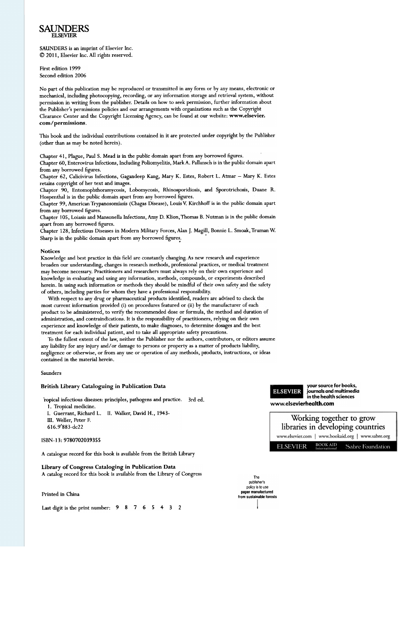#### SAUNDERS ELSEVIER

SAUNDERS is an imprint of EIsevier Inc.  $©$  2011, Elsevier Inc. All rights reserved.

First edition 1999 Second edition 2006

No part of this publication may be reproduced or transmitted in any form or by any means, electronic or mechanical, including photocopying, recording, or any information storage and retrieval system, without permission in writing from the publisher. Details on how to seek permission, further information about the Publisher's permissions policies and our arrangements with organizations such as the Copyright Clearance Center and the Copyright Licensing Agency, can be found at our website: www.elsevier. com/permissions.

This book and the individual contributions contained in it are protected under copyright by the Publisher (other than as may be noted herein).

Chapter 41, Plague, Paul S. Mead is in the public domain apart from any borrowed figures.

Chapter 60, Enterovirus Infections, lncluding Poliomyelitis, MarkA. Pallansch is in the public domain apart from any borrowed figures.

Chapter 62, Calicivirus Infections, Gagandeep Kang, Mary K. Estes, Robert L. Atmar - Mary K. Estes retains copyright of her text and images.

Chapter 90, Entomophthoramycosis, Lobomycosis, Rhinosporidiosis, and Sporotrichosis, Duane R. Hospenthal is in the public domain apart from any borrowed figures.

Chapter 99, American Trypanosomiasis (Chagas Disease), Louis v: Kirchhoff is in the public domain apart from any borrowed figures.

Chapter 105, Loiasis and Mansonella Infections, Amy D. Klion, Thomas B. Nutman is in the public domain apart from any borrowed figures.

Chapter 128, Infectious Diseases in Modern Military Forces, Alan J. Magill, Bonnie L. Smoak, Truman W. Sharp is in the public domain apart from any borrowed figures.

#### Notices

Knowledge and best practice in this field are constantly changing. As new research and experience broaden our understanding, changes in research methods, professional practices, or medical treatment mar become necessary. Practitioners and researchers must always rely on their own experience and knowledge in evaluating and using any information, methods, compounds, or experiments described herein. In using such information or methods they should be mindful of their own safety and the safety of others, including parties for whom they have a professional responsibility.

With respect to any drug or pharmaceutical products identified, readers are advised to check the most current information provided (i) on procedures featured or (ii) by the manufacturer of each product to be administered, to verify the recommended dose or formula, the method and duration of administration, and contraindications. It is the responsibility of practitioners, relying on their own experience and knowledge of their patients, to make diagnoses, to determine dosages and the best treatment for each individual patient, and to take alI appropriate safety precautions.

To the fullest extent of the law, neither the Publisher nor the authors, contributors, or editors assume any liability for any injury and/or damage to persons or property as a matter of products liability, negligence or otherwise, or from any use or operation of any methods, products, instructions, or ideas contained in the material herein.

#### Saunders

#### British Library Cataloguing in Publication Data

ropical infectious diseases: principies, pathogens and practice. 3rd ed. 1. Tropical medicine.

I. Guerrant, Richard L. 11. Walker, Oavid H., 1943- III. Weller, Peter F. 616.9'883-dc22

#### ISBN-13:9780702039355

A catalogue record for this book is available from the British Library

Library of Congress Cataloging in Publication Data A catalog record for this book is available from the Library of Congress

Printed in China

Last digit is the print number:  $98765432$ 





The publisher's policy is to use paper manufactured from sustainable forests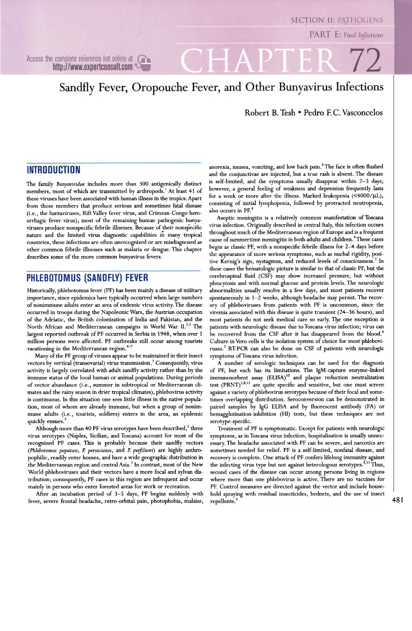Access the complete reference list online at  $\bigcap$ http://www.expertconsult.com

# Sandfly Fever, Oropouche Fever, and Other Bunyavirus Infections

Robert B. Tesh . Pedro F.C. Vasconcelos

# **INTRODUCTION**

The family Bunyaviridae includes more than 300 antigenically distinct members, most of which are transmitted by arthropods.<sup>1</sup> At least 41 of these viruses have been associated with human illness in the tropics. Apart from those members that produce serious and sometimes fatal disease (i.e., the hantaviruses, Rift Valley fever virus, and Crimean-Congo hemorrhagic fever virus), most of the remaining human pathogenic bunyaviruses produce nonspecific febrile illnesses. Because of their nonspecific , nature and the limited virus diagnostic capabilities in many tropical countries, these infections are often unrecognized or are misdiagnosed as other common febrile illnesses such as malaria or dengue. This chapter describes some of the more common bunyavirus fevers.

## **PHLEBOTOMUS (SANDFLY) FEVER**

Historically, phlebotomus fever (PF) has been mainly a disease of military importance, since epidemics have typically occurred when large numbers of nonimmune adults enter an area of endemic virus activity. The disease occurred in troops during the Napoleonic Wars, the Austrian occupation of the Adriatic, the British colonization of lndia and Pakistan, and the North African and Mediterranean campaigns in World War II.<sup>2,3</sup> The largest reported outbreak of PF occurred in Serbia in 1948, when over 1 million persons were affected. PF outbreaks still occur among tourists vacationing in the Mediterranean region. $+7$ 

Many of the PF group of viruses appear to be maintained in their insect vectors by vertical (transovarial) virus transmission.<sup>3</sup> Consequently, virus activity is largely correlated with adult sandfly activity rather than by the immune status of the local human or animal populations. During periods of vector abundance (i.e., summer in subtropical or Mediterranean climates and the rainy season in drier tropical climates), phlebovirus activity is continuous. In this situation one sees little illness in the native population, most of whom are already immune, but when a group of nonimmune adults (i.e., tourists, soldiers) enters in the area, an epidemic mune adults (i.<br>quickly ensues.<sup>2</sup>

Although more than 40 PF virus serotypes have been described, $^2$  three virus serotypes (Naples, Sicilian, and Toscana) account for most of the recognized PF cases. This is probably because their sandfly vectors (Phlebotomus papatasi, R perniciosus, and R perfiliewi) are highly anthropophilic, readily enter houses, and have a wide geographic distribution in the Mediterranean region and central Asia.<sup>3</sup> In contrast, most of the New World phleboviruses and their vectors have a more focal and sylvan distribution; consequently, PF cases in this region are infrequent and occur mainly in persons who enter forested areas for work or recreation.

After an incubation period of 3-5 days, PF begins suddenly with fever, severe frontal headache, retro-orbital pain, photophobia, malaise, anorexia, nausea, vomiting, and low back pain.8 The face is often flushed and the conjunctivae are injected, but a true rash is absent. The disease is self-limited, and the symptoms usually disappear within  $2-3$  days; however, a general feeling of weakness and depression frequently lasts for a week or more after the illness. Marked leukopenia  $(<$ 4000/ $\mu$ L), consisting of initial lymphopenia, followed by protracted neutropenia, also occurs in PF.<sup>8</sup>

rogin as classic 11, with a nonspective rebrite inness for 2 + days before the appearance of more serious symptoms, such as nuchal rigidity, posi-Aseptic meningitis is a relatively common manifestation of Toscana vírus infection. Originally described in central ltaly, this infection occurs throughout much of the Mediterranean region of Europe and is a frequent cause of summertime meningitis in both adults and children.<sup>9</sup>These cases begin as classic PF, with a nonspecific febrile illness for 2-4 days before tive Kernig's sign, nystagmus, and reduced levels of consciousness.<sup>7</sup> In these cases the hematologic picture is similar to that of classic PF, but the cerebrospinal fluid (CSF) may show increased pressure, but without pleocytosis and With normal glucose and protein levels. The neurologic abnormalities usually resolve in a few days, and most patients recover spontaneously in  $1-2$  weeks, although headache may persist. The recovery of phlebovíruses from patients with PF is uncommon, since the víremia associated With this disease is quite transient (24-36 hours), and most patients do not seek medical care so early. The one exception is patients With neurologic disease due to Toscana vírus infection; vírus can be recovered from the CSF after it has disappeared from the blood.<sup>6</sup> Culture in Vero cells is the isolation system of choice for most phleboviruses.<sup>2</sup> RT-PCR can also be done on CSF of patients with neurologic symptoms ofToscana vírus infection.

A number of serologic techniques can be used for the diagnosis of PF, but each has its limitations. The IgM-capture enzyme-linked immunosorbent assay (ELISA)<sup>10</sup> and plaque reduction neutralization test  $(PRNT)^{2,8,11}$  are quite specific and sensitive, but one must screen against a variety of phlebovírus serotypes because of their focal and sometimes overlapping distribution. Seroconversion can be demonstrated in paired samples by IgG ELISA and by fluorescent antibody (FA) or hemagglutination-inhibition (HI) tests, but these techniques are not serotype-specific.

Treatment of PF is symptomatic. Except for patients With neurologic symptoms, as in Toscana vírus infection, hospitalization is usually unnecessary. The headache associated With PF can be severe, and narcotics are sometimes needed for relief. PF is a self-limited, nonfatal disease, and recovery is complete. One attack of PF confers lifelong immunity against the infecting virus type but not against heterologous serotypes.<sup>8,11</sup> Thus, second cases of the disease can occur among persons livíng in regions where more than one phlebovírus is active. There are no vaccines for PF. Control measures are directed against the vector and include household spraying with residual insecticides, bednets, and the use of insect repellents.<sup>3</sup>

## **SECTION II: PATHOGENS**

PART E: Viral Infections